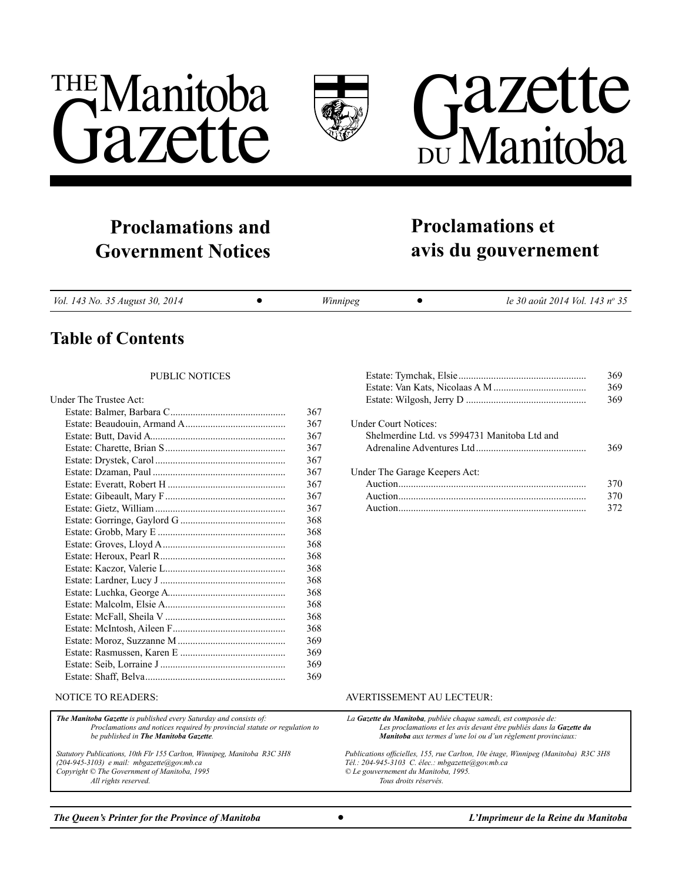





# **Proclamations and Government Notices**

# **Proclamations et avis du gouvernement**

*Vol. 143 No. 35 August 30, 2014* ● *Winnipeg* ● *Winnipeg* 

le 30 août 2014 Vol. 143 nº 35

# **Table of Contents**

# PUBLIC NOTICES

| Under The Trustee Act: |     |
|------------------------|-----|
|                        | 367 |
|                        | 367 |
|                        | 367 |
|                        | 367 |
|                        | 367 |
|                        | 367 |
|                        | 367 |
|                        | 367 |
|                        | 367 |
|                        | 368 |
|                        | 368 |
|                        | 368 |
|                        | 368 |
|                        | 368 |
|                        | 368 |
|                        | 368 |
|                        | 368 |
|                        | 368 |
|                        | 368 |
|                        | 369 |
|                        | 369 |
|                        | 369 |
|                        | 369 |

# Estate: Tymchak, Elsie................................................... 369 Estate: Van Kats, Nicolaas A M ..................................... 369 Estate: Wilgosh, Jerry D ................................................ 369 Under Court Notices: Shelmerdine Ltd. vs 5994731 Manitoba Ltd and Adrenaline Adventures Ltd............................................ 369 Under The Garage Keepers Act: Auction........................................................................... 370 Auction........................................................................... 370 Auction........................................................................... 372

# NOTICE TO READERS: AVERTISSEMENT AU LECTEUR:

*La Gazette du Manitoba, publiée chaque samedi, est composée de: Les proclamations et les avis devant être publiés dans la Gazette du Manitoba aux termes d'une loi ou d'un règlement provinciaux:*

*Publications officielles, 155, rue Carlton, 10e étage, Winnipeg (Manitoba) R3C 3H8 Tél.: 204-945-3103 C. élec.: mbgazette@gov.mb.ca © Le gouvernement du Manitoba, 1995. Tous droits réservés.*

*The Manitoba Gazette is published every Saturday and consists of: Proclamations and notices required by provincial statute or regulation to be published in The Manitoba Gazette.*

*Statutory Publications, 10th Flr 155 Carlton, Winnipeg, Manitoba R3C 3H8 (204-945-3103) e mail: mbgazette@gov.mb.ca Copyright © The Government of Manitoba, 1995 All rights reserved.*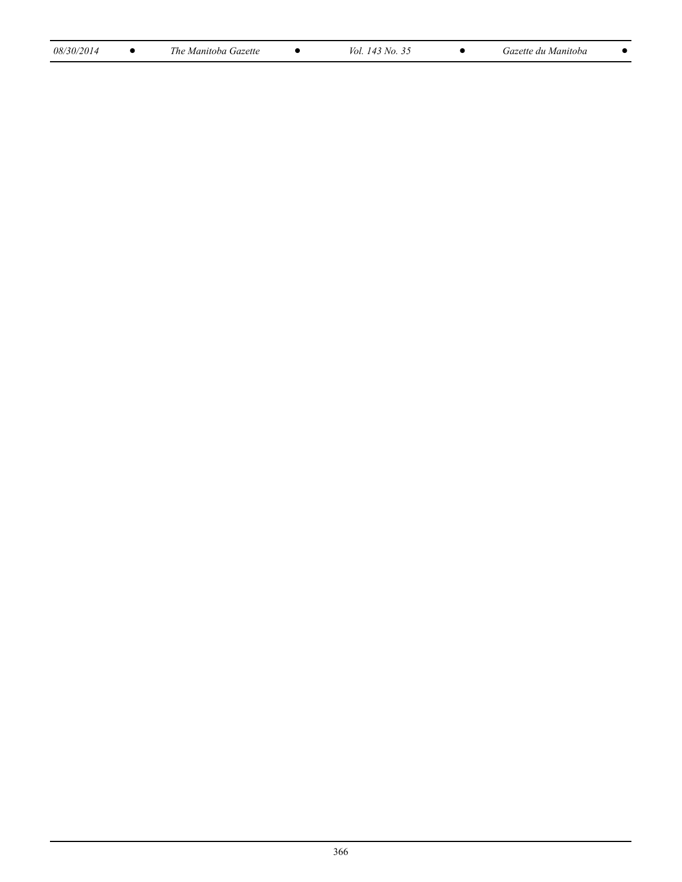| 08/30/2014 | The Manitoba Gazette | Vol. 143 No. 35 | Gazette du Manitoba |  |
|------------|----------------------|-----------------|---------------------|--|
|            |                      |                 |                     |  |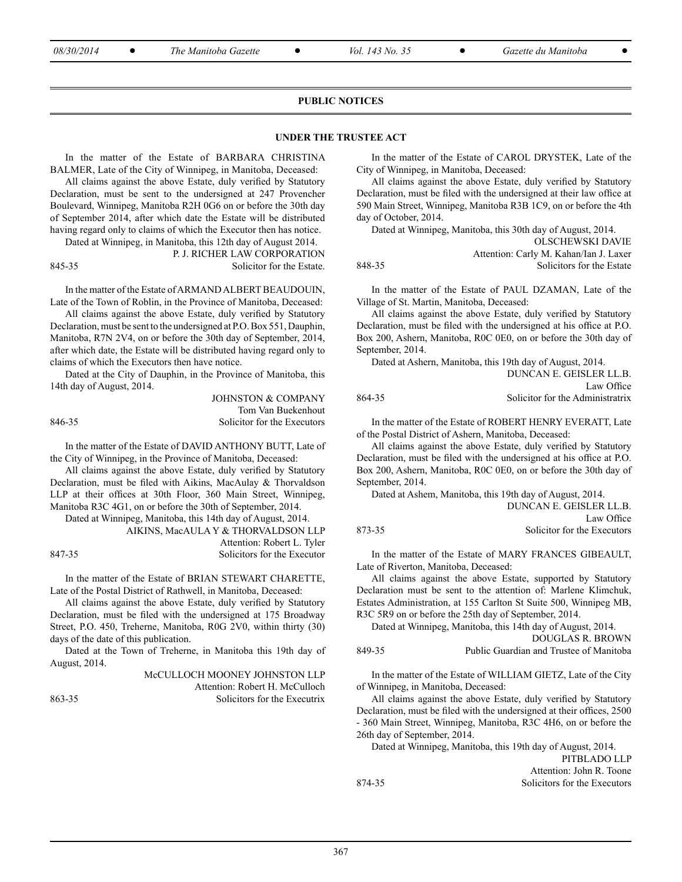| ۰.      | I<br>٠  |  |
|---------|---------|--|
| ۰.<br>× | ۰,<br>× |  |

| 08/30/2014 |  | The Manitoba Gazette |  | Vol. 143 No. 35 |  | Gazette du Manitoba |  |
|------------|--|----------------------|--|-----------------|--|---------------------|--|
|------------|--|----------------------|--|-----------------|--|---------------------|--|

#### **PUBLIC NOTICES**

#### **UNDER THE TRUSTEE ACT**

In the matter of the Estate of BARBARA CHRISTINA BALMER, Late of the City of Winnipeg, in Manitoba, Deceased:

All claims against the above Estate, duly verified by Statutory Declaration, must be sent to the undersigned at 247 Provencher Boulevard, Winnipeg, Manitoba R2H 0G6 on or before the 30th day of September 2014, after which date the Estate will be distributed having regard only to claims of which the Executor then has notice.

Dated at Winnipeg, in Manitoba, this 12th day of August 2014. P. J. RICHER LAW CORPORATION 845-35 Solicitor for the Estate.

In the matter of the Estate of ARMAND ALBERT BEAUDOUIN, Late of the Town of Roblin, in the Province of Manitoba, Deceased:

All claims against the above Estate, duly verified by Statutory Declaration, must be sent to the undersigned at P.O. Box 551, Dauphin, Manitoba, R7N 2V4, on or before the 30th day of September, 2014, after which date, the Estate will be distributed having regard only to claims of which the Executors then have notice.

Dated at the City of Dauphin, in the Province of Manitoba, this 14th day of August, 2014.

|        | <b>JOHNSTON &amp; COMPANY</b> |
|--------|-------------------------------|
|        | Tom Van Buekenhout            |
| 846-35 | Solicitor for the Executors   |

In the matter of the Estate of DAVID ANTHONY BUTT, Late of the City of Winnipeg, in the Province of Manitoba, Deceased:

All claims against the above Estate, duly verified by Statutory Declaration, must be filed with Aikins, MacAulay & Thorvaldson LLP at their offices at 30th Floor, 360 Main Street, Winnipeg, Manitoba R3C 4G1, on or before the 30th of September, 2014.

Dated at Winnipeg, Manitoba, this 14th day of August, 2014. AIKINS, MacAULA Y & THORVALDSON LLP Attention: Robert L. Tyler

847-35 Solicitors for the Executor

In the matter of the Estate of BRIAN STEWART CHARETTE, Late of the Postal District of Rathwell, in Manitoba, Deceased:

All claims against the above Estate, duly verified by Statutory Declaration, must be filed with the undersigned at 175 Broadway Street, P.O. 450, Treherne, Manitoba, R0G 2V0, within thirty (30) days of the date of this publication.

Dated at the Town of Treherne, in Manitoba this 19th day of August, 2014.

McCULLOCH MOONEY JOHNSTON LLP Attention: Robert H. McCulloch 863-35 Solicitors for the Executrix

In the matter of the Estate of CAROL DRYSTEK, Late of the City of Winnipeg, in Manitoba, Deceased:

All claims against the above Estate, duly verified by Statutory Declaration, must be filed with the undersigned at their law office at 590 Main Street, Winnipeg, Manitoba R3B 1C9, on or before the 4th day of October, 2014.

Dated at Winnipeg, Manitoba, this 30th day of August, 2014.

| <b>OLSCHEWSKI DAVIE</b>                |
|----------------------------------------|
| Attention: Carly M. Kahan/Ian J. Laxer |
| Solicitors for the Estate              |
|                                        |

In the matter of the Estate of PAUL DZAMAN, Late of the Village of St. Martin, Manitoba, Deceased:

All claims against the above Estate, duly verified by Statutory Declaration, must be filed with the undersigned at his office at P.O. Box 200, Ashern, Manitoba, R0C 0E0, on or before the 30th day of September, 2014.

Dated at Ashern, Manitoba, this 19th day of August, 2014.

|        | DUNCAN E. GEISLER LL.B.          |
|--------|----------------------------------|
|        | Law Office                       |
| 864-35 | Solicitor for the Administratrix |

In the matter of the Estate of ROBERT HENRY EVERATT, Late of the Postal District of Ashern, Manitoba, Deceased:

All claims against the above Estate, duly verified by Statutory Declaration, must be filed with the undersigned at his office at P.O. Box 200, Ashern, Manitoba, R0C 0E0, on or before the 30th day of September, 2014.

Dated at Ashem, Manitoba, this 19th day of August, 2014.

| DUNCAN E. GEISLER LL.B. |  |
|-------------------------|--|
|                         |  |

Law Office

873-35 Solicitor for the Executors

In the matter of the Estate of MARY FRANCES GIBEAULT, Late of Riverton, Manitoba, Deceased:

All claims against the above Estate, supported by Statutory Declaration must be sent to the attention of: Marlene Klimchuk, Estates Administration, at 155 Carlton St Suite 500, Winnipeg MB, R3C 5R9 on or before the 25th day of September, 2014.

Dated at Winnipeg, Manitoba, this 14th day of August, 2014. DOUGLAS R. BROWN

| 849-35 | Public Guardian and Trustee of Manitoba |  |
|--------|-----------------------------------------|--|
|        |                                         |  |

In the matter of the Estate of WILLIAM GIETZ, Late of the City of Winnipeg, in Manitoba, Deceased:

All claims against the above Estate, duly verified by Statutory Declaration, must be filed with the undersigned at their offices, 2500 - 360 Main Street, Winnipeg, Manitoba, R3C 4H6, on or before the 26th day of September, 2014.

Dated at Winnipeg, Manitoba, this 19th day of August, 2014.

|        | PITBLADO LLP                 |
|--------|------------------------------|
|        | Attention: John R. Toone     |
| 874-35 | Solicitors for the Executors |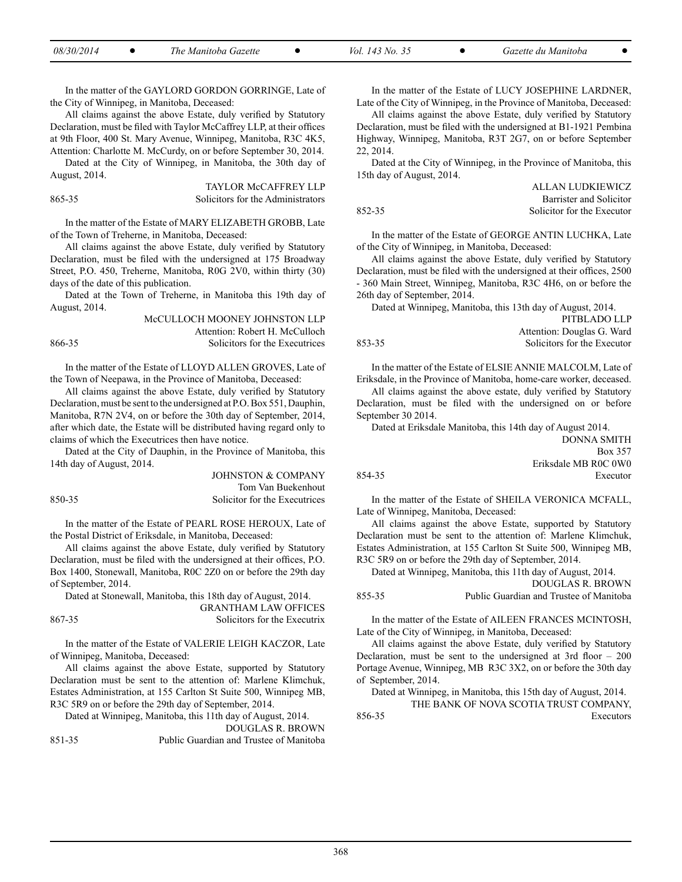| 08/30/2014<br>The Manitoba Gazette | <i>Vol.</i> 143 No. 35 |  | Gazette du Manitoba |  |
|------------------------------------|------------------------|--|---------------------|--|
|------------------------------------|------------------------|--|---------------------|--|

In the matter of the GAYLORD GORDON GORRINGE, Late of the City of Winnipeg, in Manitoba, Deceased:

All claims against the above Estate, duly verified by Statutory Declaration, must be filed with Taylor McCaffrey LLP, at their offices at 9th Floor, 400 St. Mary Avenue, Winnipeg, Manitoba, R3C 4K5, Attention: Charlotte M. McCurdy, on or before September 30, 2014.

Dated at the City of Winnipeg, in Manitoba, the 30th day of August, 2014.

TAYLOR McCAFFREY LLP 865-35 Solicitors for the Administrators

In the matter of the Estate of MARY ELIZABETH GROBB, Late of the Town of Treherne, in Manitoba, Deceased:

All claims against the above Estate, duly verified by Statutory Declaration, must be filed with the undersigned at 175 Broadway Street, P.O. 450, Treherne, Manitoba, R0G 2V0, within thirty (30) days of the date of this publication.

Dated at the Town of Treherne, in Manitoba this 19th day of August, 2014.

McCULLOCH MOONEY JOHNSTON LLP Attention: Robert H. McCulloch 866-35 Solicitors for the Executrices

In the matter of the Estate of LLOYD ALLEN GROVES, Late of the Town of Neepawa, in the Province of Manitoba, Deceased:

All claims against the above Estate, duly verified by Statutory Declaration, must be sent to the undersigned at P.O. Box 551, Dauphin, Manitoba, R7N 2V4, on or before the 30th day of September, 2014, after which date, the Estate will be distributed having regard only to claims of which the Executrices then have notice.

Dated at the City of Dauphin, in the Province of Manitoba, this 14th day of August, 2014.

|        | <b>JOHNSTON &amp; COMPANY</b> |
|--------|-------------------------------|
|        | Tom Van Buekenhout            |
| 850-35 | Solicitor for the Executrices |

In the matter of the Estate of PEARL ROSE HEROUX, Late of the Postal District of Eriksdale, in Manitoba, Deceased:

All claims against the above Estate, duly verified by Statutory Declaration, must be filed with the undersigned at their offices, P.O. Box 1400, Stonewall, Manitoba, R0C 2Z0 on or before the 29th day of September, 2014.

Dated at Stonewall, Manitoba, this 18th day of August, 2014.

GRANTHAM LAW OFFICES 867-35 Solicitors for the Executrix

In the matter of the Estate of VALERIE LEIGH KACZOR, Late of Winnipeg, Manitoba, Deceased:

All claims against the above Estate, supported by Statutory Declaration must be sent to the attention of: Marlene Klimchuk, Estates Administration, at 155 Carlton St Suite 500, Winnipeg MB, R3C 5R9 on or before the 29th day of September, 2014.

Dated at Winnipeg, Manitoba, this 11th day of August, 2014. DOUGLAS R. BROWN 851-35 Public Guardian and Trustee of Manitoba

In the matter of the Estate of LUCY JOSEPHINE LARDNER, Late of the City of Winnipeg, in the Province of Manitoba, Deceased:

All claims against the above Estate, duly verified by Statutory Declaration, must be filed with the undersigned at B1-1921 Pembina Highway, Winnipeg, Manitoba, R3T 2G7, on or before September 22, 2014.

Dated at the City of Winnipeg, in the Province of Manitoba, this 15th day of August, 2014.

|        | ALLAN LUDKIEWICZ           |
|--------|----------------------------|
|        | Barrister and Solicitor    |
| 852-35 | Solicitor for the Executor |

In the matter of the Estate of GEORGE ANTIN LUCHKA, Late of the City of Winnipeg, in Manitoba, Deceased:

All claims against the above Estate, duly verified by Statutory Declaration, must be filed with the undersigned at their offices, 2500 - 360 Main Street, Winnipeg, Manitoba, R3C 4H6, on or before the 26th day of September, 2014.

Dated at Winnipeg, Manitoba, this 13th day of August, 2014.

|        | PITBLADO LLP                |
|--------|-----------------------------|
|        | Attention: Douglas G. Ward  |
| 853-35 | Solicitors for the Executor |

In the matter of the Estate of ELSIE ANNIE MALCOLM, Late of Eriksdale, in the Province of Manitoba, home-care worker, deceased.

All claims against the above estate, duly verified by Statutory Declaration, must be filed with the undersigned on or before September 30 2014.

Dated at Eriksdale Manitoba, this 14th day of August 2014.

| <b>DONNA SMITH</b>   |
|----------------------|
| Box 357              |
| Eriksdale MB ROC 0W0 |
| Executor             |
|                      |

In the matter of the Estate of SHEILA VERONICA MCFALL, Late of Winnipeg, Manitoba, Deceased:

All claims against the above Estate, supported by Statutory Declaration must be sent to the attention of: Marlene Klimchuk, Estates Administration, at 155 Carlton St Suite 500, Winnipeg MB, R3C 5R9 on or before the 29th day of September, 2014.

Dated at Winnipeg, Manitoba, this 11th day of August, 2014. DOUGLAS R. BROWN 855-35 Public Guardian and Trustee of Manitoba

In the matter of the Estate of AILEEN FRANCES MCINTOSH, Late of the City of Winnipeg, in Manitoba, Deceased:

All claims against the above Estate, duly verified by Statutory Declaration, must be sent to the undersigned at  $3rd$  floor  $-200$ Portage Avenue, Winnipeg, MB R3C 3X2, on or before the 30th day of September, 2014.

Dated at Winnipeg, in Manitoba, this 15th day of August, 2014.

THE BANK OF NOVA SCOTIA TRUST COMPANY, 856-35 Executors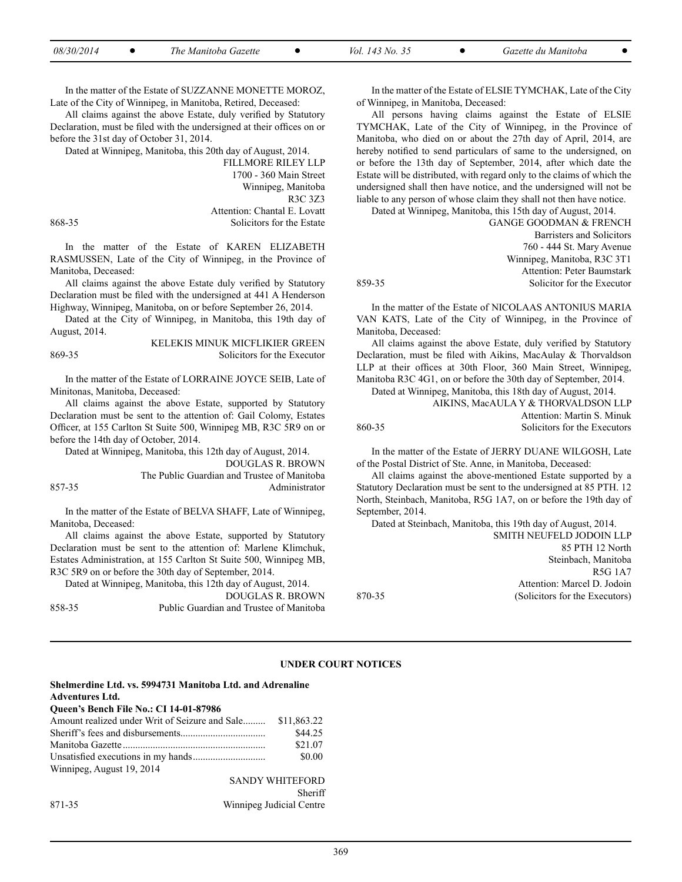| 08/30/2014<br><i>Vol.</i> 143 No. 35<br>The Manitoba Gazette<br>Gazette du Manitoba |  |  |
|-------------------------------------------------------------------------------------|--|--|
|-------------------------------------------------------------------------------------|--|--|

In the matter of the Estate of SUZZANNE MONETTE MOROZ, Late of the City of Winnipeg, in Manitoba, Retired, Deceased:

All claims against the above Estate, duly verified by Statutory Declaration, must be filed with the undersigned at their offices on or before the 31st day of October 31, 2014.

Dated at Winnipeg, Manitoba, this 20th day of August, 2014.

|        | <b>FILLMORE RILEY LLP</b>    |
|--------|------------------------------|
|        | 1700 - 360 Main Street       |
|        | Winnipeg, Manitoba           |
|        | R3C 3Z3                      |
|        | Attention: Chantal E. Lovatt |
| 868-35 | Solicitors for the Estate    |
|        |                              |

In the matter of the Estate of KAREN ELIZABETH RASMUSSEN, Late of the City of Winnipeg, in the Province of Manitoba, Deceased:

All claims against the above Estate duly verified by Statutory Declaration must be filed with the undersigned at 441 A Henderson Highway, Winnipeg, Manitoba, on or before September 26, 2014.

Dated at the City of Winnipeg, in Manitoba, this 19th day of August, 2014.

KELEKIS MINUK MICFLIKIER GREEN 869-35 Solicitors for the Executor

In the matter of the Estate of LORRAINE JOYCE SEIB, Late of Minitonas, Manitoba, Deceased:

All claims against the above Estate, supported by Statutory Declaration must be sent to the attention of: Gail Colomy, Estates Officer, at 155 Carlton St Suite 500, Winnipeg MB, R3C 5R9 on or before the 14th day of October, 2014.

Dated at Winnipeg, Manitoba, this 12th day of August, 2014. DOUGLAS R. BROWN The Public Guardian and Trustee of Manitoba 857-35 Administrator

In the matter of the Estate of BELVA SHAFF, Late of Winnipeg, Manitoba, Deceased:

All claims against the above Estate, supported by Statutory Declaration must be sent to the attention of: Marlene Klimchuk, Estates Administration, at 155 Carlton St Suite 500, Winnipeg MB, R3C 5R9 on or before the 30th day of September, 2014.

Dated at Winnipeg, Manitoba, this 12th day of August, 2014.

DOUGLAS R. BROWN

858-35 Public Guardian and Trustee of Manitoba

In the matter of the Estate of ELSIE TYMCHAK, Late of the City of Winnipeg, in Manitoba, Deceased:

All persons having claims against the Estate of ELSIE TYMCHAK, Late of the City of Winnipeg, in the Province of Manitoba, who died on or about the 27th day of April, 2014, are hereby notified to send particulars of same to the undersigned, on or before the 13th day of September, 2014, after which date the Estate will be distributed, with regard only to the claims of which the undersigned shall then have notice, and the undersigned will not be liable to any person of whose claim they shall not then have notice.

Dated at Winnipeg, Manitoba, this 15th day of August, 2014.

|        | <b>GANGE GOODMAN &amp; FRENCH</b> |
|--------|-----------------------------------|
|        | Barristers and Solicitors         |
|        | 760 - 444 St. Mary Avenue         |
|        | Winnipeg, Manitoba, R3C 3T1       |
|        | <b>Attention: Peter Baumstark</b> |
| 859-35 | Solicitor for the Executor        |
|        |                                   |

In the matter of the Estate of NICOLAAS ANTONIUS MARIA VAN KATS, Late of the City of Winnipeg, in the Province of Manitoba, Deceased:

All claims against the above Estate, duly verified by Statutory Declaration, must be filed with Aikins, MacAulay & Thorvaldson LLP at their offices at 30th Floor, 360 Main Street, Winnipeg, Manitoba R3C 4G1, on or before the 30th day of September, 2014.

Dated at Winnipeg, Manitoba, this 18th day of August, 2014. AIKINS, MacAULA Y & THORVALDSON LLP Attention: Martin S. Minuk 860-35 Solicitors for the Executors

In the matter of the Estate of JERRY DUANE WILGOSH, Late of the Postal District of Ste. Anne, in Manitoba, Deceased:

All claims against the above-mentioned Estate supported by a Statutory Declaration must be sent to the undersigned at 85 PTH. 12 North, Steinbach, Manitoba, R5G 1A7, on or before the 19th day of September, 2014.

Dated at Steinbach, Manitoba, this 19th day of August, 2014.

|        | SMITH NEUFELD JODOIN LLP       |
|--------|--------------------------------|
|        | 85 PTH 12 North                |
|        | Steinbach. Manitoba            |
|        | R <sub>5</sub> G 1A7           |
|        | Attention: Marcel D. Jodoin    |
| 870-35 | (Solicitors for the Executors) |
|        |                                |

# **UNDER COURT NOTICES**

| Shelmerdine Ltd. vs. 5994731 Manitoba Ltd. and Adrenaline |                          |
|-----------------------------------------------------------|--------------------------|
| Adventures Ltd.                                           |                          |
| <b>Oueen's Bench File No.: CI 14-01-87986</b>             |                          |
| Amount realized under Writ of Seizure and Sale            | \$11,863.22              |
|                                                           | \$44.25                  |
|                                                           | \$21.07                  |
|                                                           | \$0.00                   |
| Winnipeg, August 19, 2014                                 |                          |
|                                                           | <b>SANDY WHITEFORD</b>   |
|                                                           | Sheriff                  |
| 871-35                                                    | Winnipeg Judicial Centre |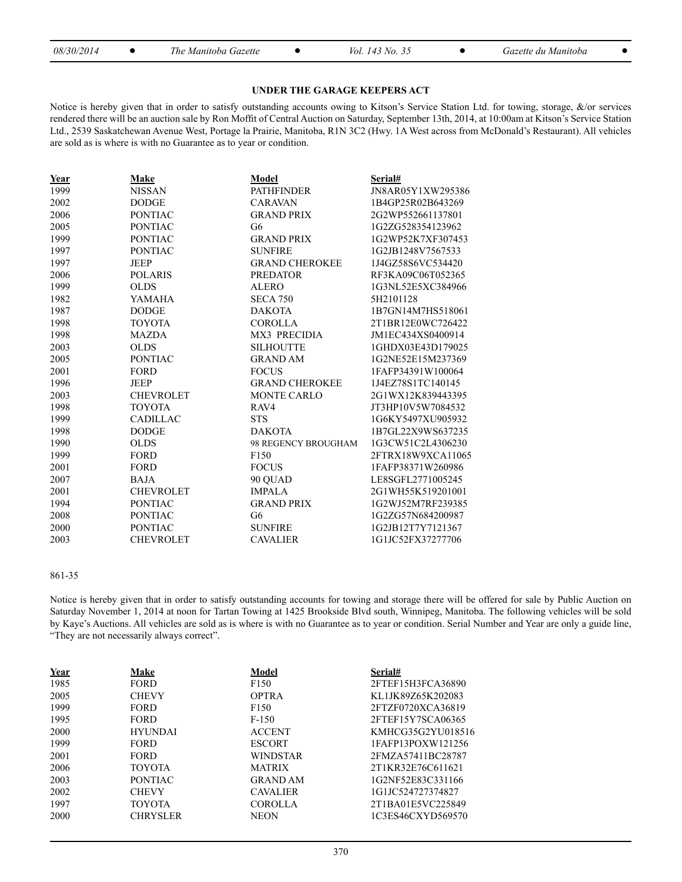| <i>08/30/2014</i> |  | The Manitoba Gazette |  | Vol. 143 No. 35 |  | Gazette du Manitoba |  |
|-------------------|--|----------------------|--|-----------------|--|---------------------|--|
|-------------------|--|----------------------|--|-----------------|--|---------------------|--|

### **UNDER THE GARAGE KEEPERS ACT**

Notice is hereby given that in order to satisfy outstanding accounts owing to Kitson's Service Station Ltd. for towing, storage, &/or services rendered there will be an auction sale by Ron Moffit of Central Auction on Saturday, September 13th, 2014, at 10:00am at Kitson's Service Station Ltd., 2539 Saskatchewan Avenue West, Portage la Prairie, Manitoba, R1N 3C2 (Hwy. 1A West across from McDonald's Restaurant). All vehicles are sold as is where is with no Guarantee as to year or condition.

| <u>Year</u> | <u>Make</u>      | Model                 | Serial#           |
|-------------|------------------|-----------------------|-------------------|
| 1999        | <b>NISSAN</b>    | <b>PATHFINDER</b>     | JN8AR05Y1XW295386 |
| 2002        | <b>DODGE</b>     | <b>CARAVAN</b>        | 1B4GP25R02B643269 |
| 2006        | <b>PONTIAC</b>   | <b>GRAND PRIX</b>     | 2G2WP552661137801 |
| 2005        | <b>PONTIAC</b>   | G6                    | 1G2ZG528354123962 |
| 1999        | <b>PONTIAC</b>   | <b>GRAND PRIX</b>     | 1G2WP52K7XF307453 |
| 1997        | <b>PONTIAC</b>   | <b>SUNFIRE</b>        | 1G2JB1248V7567533 |
| 1997        | <b>JEEP</b>      | <b>GRAND CHEROKEE</b> | 1J4GZ58S6VC534420 |
| 2006        | <b>POLARIS</b>   | <b>PREDATOR</b>       | RF3KA09C06T052365 |
| 1999        | <b>OLDS</b>      | <b>ALERO</b>          | 1G3NL52E5XC384966 |
| 1982        | YAMAHA           | <b>SECA 750</b>       | 5H2101128         |
| 1987        | <b>DODGE</b>     | <b>DAKOTA</b>         | 1B7GN14M7HS518061 |
| 1998        | <b>TOYOTA</b>    | <b>COROLLA</b>        | 2T1BR12E0WC726422 |
| 1998        | <b>MAZDA</b>     | MX3 PRECIDIA          | JM1EC434XS0400914 |
| 2003        | <b>OLDS</b>      | <b>SILHOUTTE</b>      | 1GHDX03E43D179025 |
| 2005        | <b>PONTIAC</b>   | <b>GRAND AM</b>       | 1G2NE52E15M237369 |
| 2001        | <b>FORD</b>      | <b>FOCUS</b>          | 1FAFP34391W100064 |
| 1996        | <b>JEEP</b>      | <b>GRAND CHEROKEE</b> | 1J4EZ78S1TC140145 |
| 2003        | <b>CHEVROLET</b> | <b>MONTE CARLO</b>    | 2G1WX12K839443395 |
| 1998        | <b>TOYOTA</b>    | RAV4                  | JT3HP10V5W7084532 |
| 1999        | <b>CADILLAC</b>  | <b>STS</b>            | 1G6KY5497XU905932 |
| 1998        | <b>DODGE</b>     | <b>DAKOTA</b>         | 1B7GL22X9WS637235 |
| 1990        | <b>OLDS</b>      | 98 REGENCY BROUGHAM   | 1G3CW51C2L4306230 |
| 1999        | <b>FORD</b>      | F <sub>150</sub>      | 2FTRX18W9XCA11065 |
| 2001        | <b>FORD</b>      | <b>FOCUS</b>          | 1FAFP38371W260986 |
| 2007        | <b>BAJA</b>      | 90 QUAD               | LE8SGFL2771005245 |
| 2001        | <b>CHEVROLET</b> | <b>IMPALA</b>         | 2G1WH55K519201001 |
| 1994        | <b>PONTIAC</b>   | <b>GRAND PRIX</b>     | 1G2WJ52M7RF239385 |
| 2008        | <b>PONTIAC</b>   | G6                    | 1G2ZG57N684200987 |
| 2000        | <b>PONTIAC</b>   | <b>SUNFIRE</b>        | 1G2JB12T7Y7121367 |
| 2003        | <b>CHEVROLET</b> | <b>CAVALIER</b>       | 1G1JC52FX37277706 |

# 861-35

Notice is hereby given that in order to satisfy outstanding accounts for towing and storage there will be offered for sale by Public Auction on Saturday November 1, 2014 at noon for Tartan Towing at 1425 Brookside Blvd south, Winnipeg, Manitoba. The following vehicles will be sold by Kaye's Auctions. All vehicles are sold as is where is with no Guarantee as to year or condition. Serial Number and Year are only a guide line, "They are not necessarily always correct".

| Year | Make           | Model            | Serial#           |
|------|----------------|------------------|-------------------|
| 1985 | <b>FORD</b>    | F <sub>150</sub> | 2FTEF15H3FCA36890 |
| 2005 | <b>CHEVY</b>   | <b>OPTRA</b>     | KL1JK89Z65K202083 |
| 1999 | <b>FORD</b>    | F <sub>150</sub> | 2FTZF0720XCA36819 |
| 1995 | <b>FORD</b>    | $F-150$          | 2FTEF15Y7SCA06365 |
| 2000 | <b>HYUNDAI</b> | <b>ACCENT</b>    | KMHCG35G2YU018516 |
| 1999 | <b>FORD</b>    | <b>ESCORT</b>    | 1FAFP13POXW121256 |
| 2001 | <b>FORD</b>    | <b>WINDSTAR</b>  | 2FMZA57411BC28787 |
| 2006 | <b>TOYOTA</b>  | <b>MATRIX</b>    | 2T1KR32E76C611621 |
| 2003 | <b>PONTIAC</b> | <b>GRAND AM</b>  | 1G2NF52E83C331166 |
| 2002 | <b>CHEVY</b>   | <b>CAVALIER</b>  | 1G1JC524727374827 |
| 1997 | <b>TOYOTA</b>  | <b>COROLLA</b>   | 2T1BA01E5VC225849 |
| 2000 | CHRYSLER       | NEON             | 1C3ES46CXYD569570 |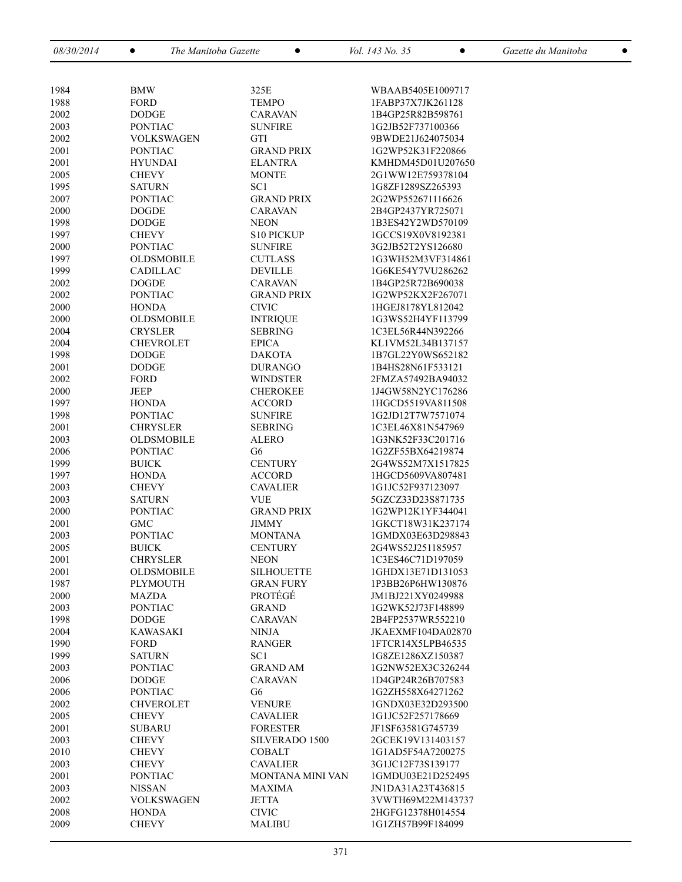| 08/30/2014   | The Manitoba Gazette |                                   | Vol. 143 No. 35<br>$\bullet$           | Gazette du Manitoba | 6 |
|--------------|----------------------|-----------------------------------|----------------------------------------|---------------------|---|
|              |                      |                                   |                                        |                     |   |
| 1984         | <b>BMW</b>           | 325E                              | WBAAB5405E1009717                      |                     |   |
| 1988         | <b>FORD</b>          | <b>TEMPO</b>                      | 1FABP37X7JK261128                      |                     |   |
| 2002         | <b>DODGE</b>         | <b>CARAVAN</b>                    | 1B4GP25R82B598761                      |                     |   |
| 2003         | <b>PONTIAC</b>       | <b>SUNFIRE</b>                    | 1G2JB52F737100366                      |                     |   |
| 2002         | <b>VOLKSWAGEN</b>    | <b>GTI</b>                        | 9BWDE21J624075034                      |                     |   |
| 2001         | <b>PONTIAC</b>       | <b>GRAND PRIX</b>                 | 1G2WP52K31F220866                      |                     |   |
| 2001         | <b>HYUNDAI</b>       | <b>ELANTRA</b>                    | KMHDM45D01U207650                      |                     |   |
| 2005         | <b>CHEVY</b>         | <b>MONTE</b>                      | 2G1WW12E759378104                      |                     |   |
| 1995         | <b>SATURN</b>        | SC <sub>1</sub>                   | 1G8ZF1289SZ265393                      |                     |   |
| 2007         | <b>PONTIAC</b>       | <b>GRAND PRIX</b>                 | 2G2WP552671116626                      |                     |   |
| 2000         | <b>DOGDE</b>         | <b>CARAVAN</b>                    | 2B4GP2437YR725071                      |                     |   |
| 1998         | <b>DODGE</b>         | <b>NEON</b>                       | 1B3ES42Y2WD570109                      |                     |   |
| 1997         | <b>CHEVY</b>         | <b>S10 PICKUP</b>                 | 1GCCS19X0V8192381                      |                     |   |
| 2000         | <b>PONTIAC</b>       | <b>SUNFIRE</b>                    | 3G2JB52T2YS126680                      |                     |   |
| 1997         | <b>OLDSMOBILE</b>    | <b>CUTLASS</b>                    | 1G3WH52M3VF314861                      |                     |   |
| 1999         | <b>CADILLAC</b>      | <b>DEVILLE</b>                    | 1G6KE54Y7VU286262                      |                     |   |
| 2002         | <b>DOGDE</b>         | <b>CARAVAN</b>                    | 1B4GP25R72B690038                      |                     |   |
| 2002         | <b>PONTIAC</b>       | <b>GRAND PRIX</b>                 | 1G2WP52KX2F267071                      |                     |   |
| 2000         | <b>HONDA</b>         | <b>CIVIC</b>                      | 1HGEJ8178YL812042                      |                     |   |
| 2000         | OLDSMOBILE           | <b>INTRIQUE</b>                   | 1G3WS52H4YF113799                      |                     |   |
| 2004         | <b>CRYSLER</b>       | <b>SEBRING</b>                    | 1C3EL56R44N392266                      |                     |   |
| 2004         | <b>CHEVROLET</b>     | <b>EPICA</b>                      | KL1VM52L34B137157                      |                     |   |
| 1998         | <b>DODGE</b>         | <b>DAKOTA</b>                     | 1B7GL22Y0WS652182                      |                     |   |
| 2001         | <b>DODGE</b>         | <b>DURANGO</b><br><b>WINDSTER</b> | 1B4HS28N61F533121                      |                     |   |
| 2002         | <b>FORD</b>          | <b>CHEROKEE</b>                   | 2FMZA57492BA94032                      |                     |   |
| 2000<br>1997 | JEEP<br><b>HONDA</b> | <b>ACCORD</b>                     | 1J4GW58N2YC176286<br>1HGCD5519VA811508 |                     |   |
| 1998         | <b>PONTIAC</b>       | <b>SUNFIRE</b>                    | 1G2JD12T7W7571074                      |                     |   |
| 2001         | <b>CHRYSLER</b>      | <b>SEBRING</b>                    | 1C3EL46X81N547969                      |                     |   |
| 2003         | <b>OLDSMOBILE</b>    | <b>ALERO</b>                      | 1G3NK52F33C201716                      |                     |   |
| 2006         | <b>PONTIAC</b>       | G <sub>6</sub>                    | 1G2ZF55BX64219874                      |                     |   |
| 1999         | <b>BUICK</b>         | <b>CENTURY</b>                    | 2G4WS52M7X1517825                      |                     |   |
| 1997         | <b>HONDA</b>         | <b>ACCORD</b>                     | 1HGCD5609VA807481                      |                     |   |
| 2003         | <b>CHEVY</b>         | <b>CAVALIER</b>                   | 1G1JC52F937123097                      |                     |   |
| 2003         | <b>SATURN</b>        | <b>VUE</b>                        | 5GZCZ33D23S871735                      |                     |   |
| 2000         | <b>PONTIAC</b>       | <b>GRAND PRIX</b>                 | 1G2WP12K1YF344041                      |                     |   |
| 2001         | <b>GMC</b>           | <b>JIMMY</b>                      | 1GKCT18W31K237174                      |                     |   |
| 2003         | <b>PONTIAC</b>       | <b>MONTANA</b>                    | 1GMDX03E63D298843                      |                     |   |
| 2005         | <b>BUICK</b>         | <b>CENTURY</b>                    | 2G4WS52J251185957                      |                     |   |
| 2001         | <b>CHRYSLER</b>      | <b>NEON</b>                       | 1C3ES46C71D197059                      |                     |   |
| 2001         | <b>OLDSMOBILE</b>    | <b>SILHOUETTE</b>                 | 1GHDX13E71D131053                      |                     |   |
| 1987         | <b>PLYMOUTH</b>      | <b>GRAN FURY</b>                  | 1P3BB26P6HW130876                      |                     |   |
| 2000         | MAZDA                | PROTÉGÉ                           | JM1BJ221XY0249988                      |                     |   |
| 2003         | <b>PONTIAC</b>       | <b>GRAND</b>                      | 1G2WK52J73F148899                      |                     |   |
| 1998         | <b>DODGE</b>         | <b>CARAVAN</b>                    | 2B4FP2537WR552210                      |                     |   |
| 2004         | <b>KAWASAKI</b>      | <b>NINJA</b>                      | JKAEXMF104DA02870                      |                     |   |
| 1990         | <b>FORD</b>          | <b>RANGER</b>                     | 1FTCR14X5LPB46535                      |                     |   |
| 1999         | <b>SATURN</b>        | SC <sub>1</sub>                   | 1G8ZE1286XZ150387                      |                     |   |
| 2003         | <b>PONTIAC</b>       | <b>GRAND AM</b>                   | 1G2NW52EX3C326244                      |                     |   |
| 2006         | <b>DODGE</b>         | <b>CARAVAN</b>                    | 1D4GP24R26B707583                      |                     |   |
| 2006         | <b>PONTIAC</b>       | G <sub>6</sub>                    | 1G2ZH558X64271262                      |                     |   |
| 2002         | <b>CHVEROLET</b>     | <b>VENURE</b>                     | 1GNDX03E32D293500                      |                     |   |
| 2005         | <b>CHEVY</b>         | <b>CAVALIER</b>                   | 1G1JC52F257178669                      |                     |   |
| 2001         | <b>SUBARU</b>        | <b>FORESTER</b>                   | JF1SF63581G745739                      |                     |   |
| 2003         | <b>CHEVY</b>         | SILVERADO 1500                    | 2GCEK19V131403157                      |                     |   |
| 2010         | <b>CHEVY</b>         | <b>COBALT</b>                     | 1G1AD5F54A7200275                      |                     |   |
| 2003         | <b>CHEVY</b>         | <b>CAVALIER</b>                   | 3G1JC12F73S139177                      |                     |   |
| 2001         | <b>PONTIAC</b>       | <b>MONTANA MINI VAN</b>           | 1GMDU03E21D252495                      |                     |   |
| 2003         | <b>NISSAN</b>        | <b>MAXIMA</b>                     | JN1DA31A23T436815                      |                     |   |
| 2002         | <b>VOLKSWAGEN</b>    | <b>JETTA</b>                      | 3VWTH69M22M143737                      |                     |   |
| 2008         | <b>HONDA</b>         | <b>CIVIC</b>                      | 2HGFG12378H014554                      |                     |   |
| 2009         | <b>CHEVY</b>         | <b>MALIBU</b>                     | 1G1ZH57B99F184099                      |                     |   |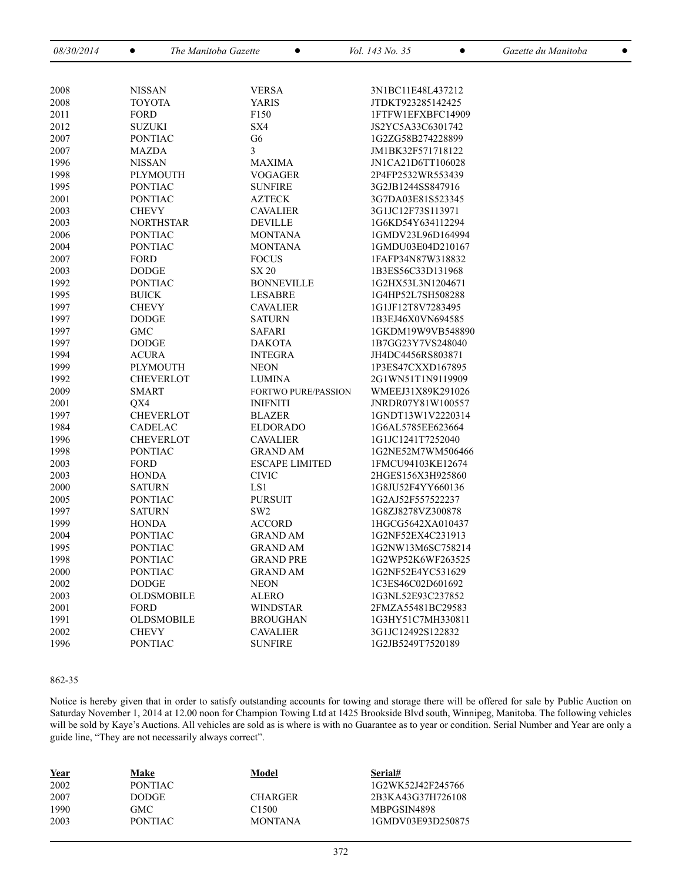| 08/30/2014   | The Manitoba Gazette |                            | Vol. 143 No. 35<br>$\bullet$ | Gazette du Manitoba |  |
|--------------|----------------------|----------------------------|------------------------------|---------------------|--|
|              |                      |                            |                              |                     |  |
| 2008         | <b>NISSAN</b>        | <b>VERSA</b>               | 3N1BC11E48L437212            |                     |  |
| 2008         | <b>TOYOTA</b>        | <b>YARIS</b>               | JTDKT923285142425            |                     |  |
| 2011         | <b>FORD</b>          | F150                       | 1FTFW1EFXBFC14909            |                     |  |
| 2012         | <b>SUZUKI</b>        | SX4                        | JS2YC5A33C6301742            |                     |  |
| 2007         | <b>PONTIAC</b>       | G <sub>6</sub>             | 1G2ZG58B274228899            |                     |  |
| 2007         | <b>MAZDA</b>         | 3                          | JM1BK32F571718122            |                     |  |
| 1996         | <b>NISSAN</b>        | <b>MAXIMA</b>              | JN1CA21D6TT106028            |                     |  |
| 1998         | <b>PLYMOUTH</b>      | <b>VOGAGER</b>             | 2P4FP2532WR553439            |                     |  |
| 1995         | <b>PONTIAC</b>       | <b>SUNFIRE</b>             | 3G2JB1244SS847916            |                     |  |
| 2001         | <b>PONTIAC</b>       | <b>AZTECK</b>              | 3G7DA03E81S523345            |                     |  |
| 2003         | <b>CHEVY</b>         | <b>CAVALIER</b>            | 3G1JC12F73S113971            |                     |  |
| 2003         | <b>NORTHSTAR</b>     | <b>DEVILLE</b>             | 1G6KD54Y634112294            |                     |  |
| 2006         | <b>PONTIAC</b>       | <b>MONTANA</b>             | 1GMDV23L96D164994            |                     |  |
| 2004         | <b>PONTIAC</b>       | <b>MONTANA</b>             | 1GMDU03E04D210167            |                     |  |
| 2007         | <b>FORD</b>          | <b>FOCUS</b>               | 1FAFP34N87W318832            |                     |  |
| 2003         | <b>DODGE</b>         | <b>SX 20</b>               | 1B3ES56C33D131968            |                     |  |
| 1992         | <b>PONTIAC</b>       | <b>BONNEVILLE</b>          | 1G2HX53L3N1204671            |                     |  |
| 1995         | <b>BUICK</b>         | <b>LESABRE</b>             | 1G4HP52L7SH508288            |                     |  |
| 1997         | <b>CHEVY</b>         | <b>CAVALIER</b>            | 1G1JF12T8V7283495            |                     |  |
| 1997         | <b>DODGE</b>         | <b>SATURN</b>              | 1B3EJ46X0VN694585            |                     |  |
| 1997         | <b>GMC</b>           | <b>SAFARI</b>              | 1GKDM19W9VB548890            |                     |  |
| 1997         | <b>DODGE</b>         | <b>DAKOTA</b>              | 1B7GG23Y7VS248040            |                     |  |
| 1994         | <b>ACURA</b>         | <b>INTEGRA</b>             | JH4DC4456RS803871            |                     |  |
| 1999         | <b>PLYMOUTH</b>      | <b>NEON</b>                | 1P3ES47CXXD167895            |                     |  |
| 1992         | <b>CHEVERLOT</b>     | <b>LUMINA</b>              | 2G1WN51T1N9119909            |                     |  |
| 2009         | <b>SMART</b>         | <b>FORTWO PURE/PASSION</b> | WMEEJ31X89K291026            |                     |  |
| 2001         | QX4                  | <b>INIFNITI</b>            | JNRDR07Y81W100557            |                     |  |
| 1997         | <b>CHEVERLOT</b>     | <b>BLAZER</b>              | 1GNDT13W1V2220314            |                     |  |
|              | <b>CADELAC</b>       | <b>ELDORADO</b>            | 1G6AL5785EE623664            |                     |  |
| 1984<br>1996 | <b>CHEVERLOT</b>     | <b>CAVALIER</b>            | 1G1JC1241T7252040            |                     |  |
| 1998         | <b>PONTIAC</b>       | <b>GRAND AM</b>            | 1G2NE52M7WM506466            |                     |  |
|              | <b>FORD</b>          | <b>ESCAPE LIMITED</b>      | 1FMCU94103KE12674            |                     |  |
| 2003         |                      |                            |                              |                     |  |
| 2003         | <b>HONDA</b>         | <b>CIVIC</b>               | 2HGES156X3H925860            |                     |  |
| 2000         | <b>SATURN</b>        | LS1                        | 1G8JU52F4YY660136            |                     |  |
| 2005         | <b>PONTIAC</b>       | <b>PURSUIT</b>             | 1G2AJ52F557522237            |                     |  |
| 1997         | <b>SATURN</b>        | SW <sub>2</sub>            | 1G8ZJ8278VZ300878            |                     |  |
| 1999         | <b>HONDA</b>         | <b>ACCORD</b>              | 1HGCG5642XA010437            |                     |  |
| 2004         | <b>PONTIAC</b>       | <b>GRAND AM</b>            | 1G2NF52EX4C231913            |                     |  |
| 1995         | <b>PONTIAC</b>       | <b>GRAND AM</b>            | 1G2NW13M6SC758214            |                     |  |
| 1998         | <b>PONTIAC</b>       | <b>GRAND PRE</b>           | 1G2WP52K6WF263525            |                     |  |
| 2000         | <b>PONTIAC</b>       | <b>GRAND AM</b>            | 1G2NF52E4YC531629            |                     |  |
| 2002         | <b>DODGE</b>         | NEON                       | 1C3ES46C02D601692            |                     |  |
| 2003         | <b>OLDSMOBILE</b>    | <b>ALERO</b>               | 1G3NL52E93C237852            |                     |  |
| 2001         | <b>FORD</b>          | <b>WINDSTAR</b>            | 2FMZA55481BC29583            |                     |  |
| 1991         | <b>OLDSMOBILE</b>    | <b>BROUGHAN</b>            | 1G3HY51C7MH330811            |                     |  |
| 2002         | <b>CHEVY</b>         | <b>CAVALIER</b>            | 3G1JC12492S122832            |                     |  |
| 1996         | <b>PONTIAC</b>       | <b>SUNFIRE</b>             | 1G2JB5249T7520189            |                     |  |
|              |                      |                            |                              |                     |  |

## 862-35

Notice is hereby given that in order to satisfy outstanding accounts for towing and storage there will be offered for sale by Public Auction on Saturday November 1, 2014 at 12.00 noon for Champion Towing Ltd at 1425 Brookside Blvd south, Winnipeg, Manitoba. The following vehicles will be sold by Kaye's Auctions. All vehicles are sold as is where is with no Guarantee as to year or condition. Serial Number and Year are only a guide line, "They are not necessarily always correct".

| Year | Make           | Model             | Serial#           |
|------|----------------|-------------------|-------------------|
| 2002 | <b>PONTIAC</b> |                   | 1G2WK52J42F245766 |
| 2007 | <b>DODGE</b>   | <b>CHARGER</b>    | 2B3KA43G37H726108 |
| 1990 | GMC            | C <sub>1500</sub> | MBPGSIN4898       |
| 2003 | <b>PONTIAC</b> | <b>MONTANA</b>    | 1GMDV03E93D250875 |
|      |                |                   |                   |